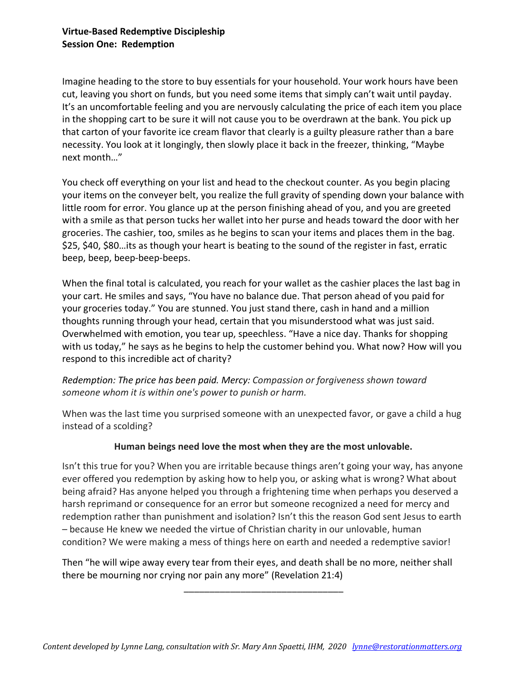# **Virtue-Based Redemptive Discipleship Session One: Redemption**

Imagine heading to the store to buy essentials for your household. Your work hours have been cut, leaving you short on funds, but you need some items that simply can't wait until payday. It's an uncomfortable feeling and you are nervously calculating the price of each item you place in the shopping cart to be sure it will not cause you to be overdrawn at the bank. You pick up that carton of your favorite ice cream flavor that clearly is a guilty pleasure rather than a bare necessity. You look at it longingly, then slowly place it back in the freezer, thinking, "Maybe next month…"

You check off everything on your list and head to the checkout counter. As you begin placing your items on the conveyer belt, you realize the full gravity of spending down your balance with little room for error. You glance up at the person finishing ahead of you, and you are greeted with a smile as that person tucks her wallet into her purse and heads toward the door with her groceries. The cashier, too, smiles as he begins to scan your items and places them in the bag. \$25, \$40, \$80…its as though your heart is beating to the sound of the register in fast, erratic beep, beep, beep-beep-beeps.

When the final total is calculated, you reach for your wallet as the cashier places the last bag in your cart. He smiles and says, "You have no balance due. That person ahead of you paid for your groceries today." You are stunned. You just stand there, cash in hand and a million thoughts running through your head, certain that you misunderstood what was just said. Overwhelmed with emotion, you tear up, speechless. "Have a nice day. Thanks for shopping with us today," he says as he begins to help the customer behind you. What now? How will you respond to this incredible act of charity?

# *Redemption: The price has been paid. Mercy: Compassion or forgiveness shown toward someone whom it is within one's power to punish or harm.*

When was the last time you surprised someone with an unexpected favor, or gave a child a hug instead of a scolding?

# **Human beings need love the most when they are the most unlovable.**

Isn't this true for you? When you are irritable because things aren't going your way, has anyone ever offered you redemption by asking how to help you, or asking what is wrong? What about being afraid? Has anyone helped you through a frightening time when perhaps you deserved a harsh reprimand or consequence for an error but someone recognized a need for mercy and redemption rather than punishment and isolation? Isn't this the reason God sent Jesus to earth – because He knew we needed the virtue of Christian charity in our unlovable, human condition? We were making a mess of things here on earth and needed a redemptive savior!

Then "he will wipe away every tear from their eyes, and death shall be no more, neither shall there be mourning nor crying nor pain any more" (Revelation 21:4)

\_\_\_\_\_\_\_\_\_\_\_\_\_\_\_\_\_\_\_\_\_\_\_\_\_\_\_\_\_\_\_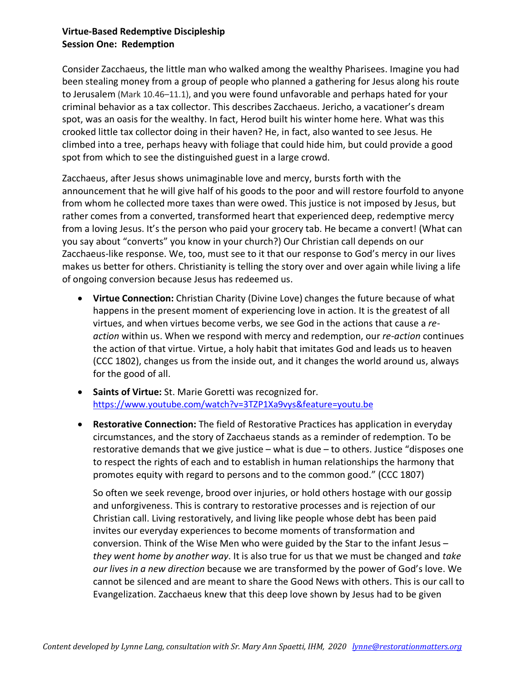# **Virtue-Based Redemptive Discipleship Session One: Redemption**

Consider Zacchaeus, the little man who walked among the wealthy Pharisees. Imagine you had been stealing money from a group of people who planned a gathering for Jesus along his route to Jerusalem (Mark 10.46–11.1), and you were found unfavorable and perhaps hated for your criminal behavior as a tax collector. This describes Zacchaeus. Jericho, a vacationer's dream spot, was an oasis for the wealthy. In fact, Herod built his winter home here. What was this crooked little tax collector doing in their haven? He, in fact, also wanted to see Jesus. He climbed into a tree, perhaps heavy with foliage that could hide him, but could provide a good spot from which to see the distinguished guest in a large crowd.

Zacchaeus, after Jesus shows unimaginable love and mercy, bursts forth with the announcement that he will give half of his goods to the poor and will restore fourfold to anyone from whom he collected more taxes than were owed. This justice is not imposed by Jesus, but rather comes from a converted, transformed heart that experienced deep, redemptive mercy from a loving Jesus. It's the person who paid your grocery tab. He became a convert! (What can you say about "converts" you know in your church?) Our Christian call depends on our Zacchaeus-like response. We, too, must see to it that our response to God's mercy in our lives makes us better for others. Christianity is telling the story over and over again while living a life of ongoing conversion because Jesus has redeemed us.

- **Virtue Connection:** Christian Charity (Divine Love) changes the future because of what happens in the present moment of experiencing love in action. It is the greatest of all virtues, and when virtues become verbs, we see God in the actions that cause a *reaction* within us. When we respond with mercy and redemption, our *re-action* continues the action of that virtue. Virtue, a holy habit that imitates God and leads us to heaven (CCC 1802), changes us from the inside out, and it changes the world around us, always for the good of all.
- **Saints of Virtue:** St. Marie Goretti was recognized for. https://www.youtube.com/watch?v=3TZP1Xa9vys&feature=youtu.be
- **Restorative Connection:** The field of Restorative Practices has application in everyday circumstances, and the story of Zacchaeus stands as a reminder of redemption. To be restorative demands that we give justice – what is due – to others. Justice "disposes one to respect the rights of each and to establish in human relationships the harmony that promotes equity with regard to persons and to the common good." (CCC 1807)

So often we seek revenge, brood over injuries, or hold others hostage with our gossip and unforgiveness. This is contrary to restorative processes and is rejection of our Christian call. Living restoratively, and living like people whose debt has been paid invites our everyday experiences to become moments of transformation and conversion. Think of the Wise Men who were guided by the Star to the infant Jesus – *they went home by another way*. It is also true for us that we must be changed and *take our lives in a new direction* because we are transformed by the power of God's love. We cannot be silenced and are meant to share the Good News with others. This is our call to Evangelization. Zacchaeus knew that this deep love shown by Jesus had to be given